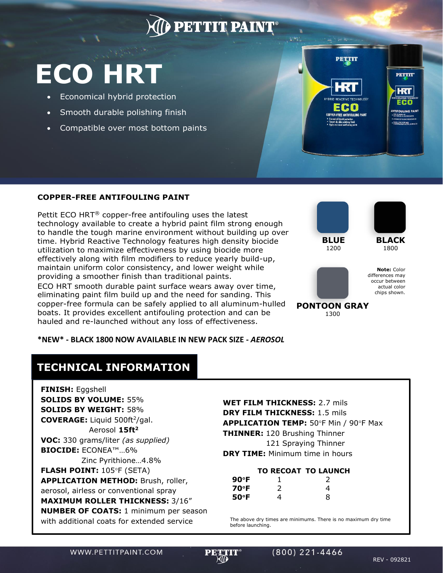## **PETTIT PAINT**

# **ECO HRT**

- Economical hybrid protection
- Smooth durable polishing finish

**COPPER-FREE ANTIFOULING PAINT**

Pettit ECO HRT® copper-free antifouling uses the latest

providing a smoother finish than traditional paints.

technology available to create a hybrid paint film strong enough to handle the tough marine environment without building up over time. Hybrid Reactive Technology features high density biocide utilization to maximize effectiveness by using biocide more effectively along with film modifiers to reduce yearly build-up, maintain uniform color consistency, and lower weight while

• Compatible over most bottom paints



**BLUE** 1200

**PETTIT** 



**PETTIT**\*

HКТ

**Note:** Color differences may occur between actual color chips shown.

**PONTOON GRAY** 1300

#### **\*NEW\* - BLACK 1800 NOW AVAILABLE IN NEW PACK SIZE -** *AEROSOL*

ECO HRT smooth durable paint surface wears away over time, eliminating paint film build up and the need for sanding. This copper-free formula can be safely applied to all aluminum-hulled boats. It provides excellent antifouling protection and can be hauled and re-launched without any loss of effectiveness.

### **TECHNICAL INFORMATION**

**FINISH:** Eggshell **SOLIDS BY VOLUME:** 55% **SOLIDS BY WEIGHT:** 58% **COVERAGE:** Liquid 500ft<sup>2</sup>/gal. Aerosol **15ft<sup>2</sup> VOC:** 330 grams/liter *(as supplied)* **BIOCIDE:** ECONEA™…6% Zinc Pyrithione…4.8% **FLASH POINT: 105°F (SETA) APPLICATION METHOD:** Brush, roller, aerosol, airless or conventional spray **MAXIMUM ROLLER THICKNESS:** 3/16" **NUMBER OF COATS:** 1 minimum per season with additional coats for extended service

**WET FILM THICKNESS:** 2.7 mils **DRY FILM THICKNESS:** 1.5 mils **APPLICATION TEMP: 50°F Min / 90°F Max THINNER:** 120 Brushing Thinner 121 Spraying Thinner **DRY TIME:** Minimum time in hours

#### **TO RECOAT TO LAUNCH**

| $90^{\circ}$ F |   | 2 |
|----------------|---|---|
| 70°F           | 2 | 4 |
| $50^{\circ}$ F | 4 | 8 |

The above dry times are minimums. There is no maximum dry time before launching.

WWW.PETTITPAINT.COM

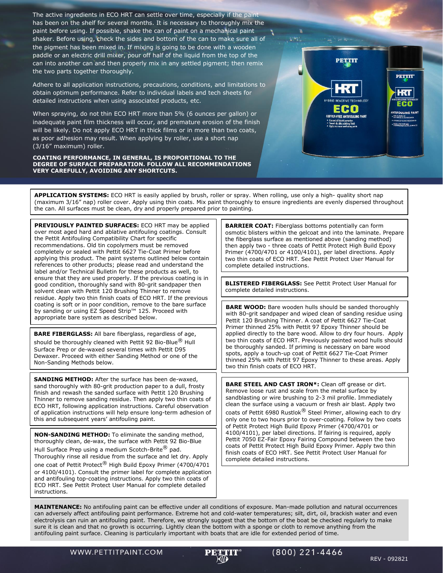The active ingredients in ECO HRT can settle over time, especially if the paint has been on the shelf for several months. It is necessary to thoroughly mix the paint before using. If possible, shake the can of paint on a mechanical paint shaker. Before using, check the sides and bottom of the can to make sure all of the pigment has been mixed in. If mixing is going to be done with a wooden paddle or an electric drill mixer, pour off half of the liquid from the top of the can into another can and then properly mix in any settled pigment; then remix the two parts together thoroughly.

Adhere to all application instructions, precautions, conditions, and limitations to obtain optimum performance. Refer to individual labels and tech sheets for detailed instructions when using associated products, etc.

When spraying, do not thin ECO HRT more than 5% (6 ounces per gallon) or inadequate paint film thickness will occur, and premature erosion of the finish will be likely. Do not apply ECO HRT in thick films or in more than two coats, as poor adhesion may result. When applying by roller, use a short nap (3/16" maximum) roller.

**COATING PERFORMANCE, IN GENERAL, IS PROPORTIONAL TO THE DEGREE OF SURFACE PREPARATION. FOLLOW ALL RECOMMENDATIONS VERY CAREFULLY, AVOIDING ANY SHORTCUTS.**



**APPLICATION SYSTEMS:** ECO HRT is easily applied by brush, roller or spray. When rolling, use only a high- quality short nap (maximum 3/16" nap) roller cover. Apply using thin coats. Mix paint thoroughly to ensure ingredients are evenly dispersed throughout the can. All surfaces must be clean, dry and properly prepared prior to painting.

**PREVIOUSLY PAINTED SURFACES:** ECO HRT may be applied over most aged hard and ablative antifouling coatings. Consult the Pettit Antifouling Compatibility Chart for specific recommendations. Old tin copolymers must be removed completely or sealed with Pettit 6627 Tie-Coat Primer before applying this product. The paint systems outlined below contain references to other products; please read and understand the label and/or Technical Bulletin for these products as well, to ensure that they are used properly. If the previous coating is in good condition, thoroughly sand with 80-grit sandpaper then solvent clean with Pettit 120 Brushing Thinner to remove residue. Apply two thin finish coats of ECO HRT. If the previous coating is soft or in poor condition, remove to the bare surface by sanding or using EZ Speed Strip™ 125. Proceed with appropriate bare system as described below.

**BARE FIBERGLASS:** All bare fiberglass, regardless of age, should be thoroughly cleaned with Pettit 92 Bio-Blue® Hull

Surface Prep or de-waxed several times with Pettit D95 Dewaxer. Proceed with either Sanding Method or one of the Non-Sanding Methods below.

**SANDING METHOD:** After the surface has been de-waxed, sand thoroughly with 80-grit production paper to a dull, frosty finish and rewash the sanded surface with Pettit 120 Brushing Thinner to remove sanding residue. Then apply two thin coats of ECO HRT, following application instructions. Careful observation of application instructions will help ensure long-term adhesion of this and subsequent years' antifouling paint.

**NON-SANDING METHOD:** To eliminate the sanding method, thoroughly clean, de-wax, the surface with Pettit 92 Bio-Blue Hull Surface Prep using a medium Scotch-Brite® pad.

Thoroughly rinse all residue from the surface and let dry. Apply one coat of Pettit Protect<sup>®</sup> High Build Epoxy Primer (4700/4701 or 4100/4101). Consult the primer label for complete application and antifouling top-coating instructions. Apply two thin coats of ECO HRT. See Pettit Protect User Manual for complete detailed

instructions.

**BARRIER COAT:** Fiberglass bottoms potentially can form osmotic blisters within the gelcoat and into the laminate. Prepare the fiberglass surface as mentioned above (sanding method) then apply two - three coats of Pettit Protect High Build Epoxy Primer (4700/4701 or 4100/4101), per label directions. Apply two thin coats of ECO HRT. See Pettit Protect User Manual for complete detailed instructions.

**BLISTERED FIBERGLASS:** See Pettit Protect User Manual for complete detailed instructions.

**BARE WOOD:** Bare wooden hulls should be sanded thoroughly with 80-grit sandpaper and wiped clean of sanding residue using Pettit 120 Brushing Thinner. A coat of Pettit 6627 Tie-Coat Primer thinned 25% with Pettit 97 Epoxy Thinner should be applied directly to the bare wood. Allow to dry four hours. Apply two thin coats of ECO HRT. Previously painted wood hulls should be thoroughly sanded. If priming is necessary on bare wood spots, apply a touch-up coat of Pettit 6627 Tie-Coat Primer thinned 25% with Pettit 97 Epoxy Thinner to these areas. Apply two thin finish coats of ECO HRT.

**BARE STEEL AND CAST IRON\*:** Clean off grease or dirt. Remove loose rust and scale from the metal surface by sandblasting or wire brushing to 2-3 mil profile. Immediately clean the surface using a vacuum or fresh air blast. Apply two coats of Pettit 6980 Rustlok<sup>®</sup> Steel Primer, allowing each to dry only one to two hours prior to over-coating. Follow by two coats of Pettit Protect High Build Epoxy Primer (4700/4701 or 4100/4101), per label directions. If fairing is required, apply Pettit 7050 EZ-Fair Epoxy Fairing Compound between the two coats of Pettit Protect High Build Epoxy Primer. Apply two thin finish coats of ECO HRT. See Pettit Protect User Manual for complete detailed instructions.

**MAINTENANCE:** No antifouling paint can be effective under all conditions of exposure. Man-made pollution and natural occurrences can adversely affect antifouling paint performance. Extreme hot and cold-water temperatures; silt, dirt, oil, brackish water and even electrolysis can ruin an antifouling paint. Therefore, we strongly suggest that the bottom of the boat be checked regularly to make sure it is clean and that no growth is occurring. Lightly clean the bottom with a sponge or cloth to remove anything from the antifouling paint surface. Cleaning is particularly important with boats that are idle for extended period of time.